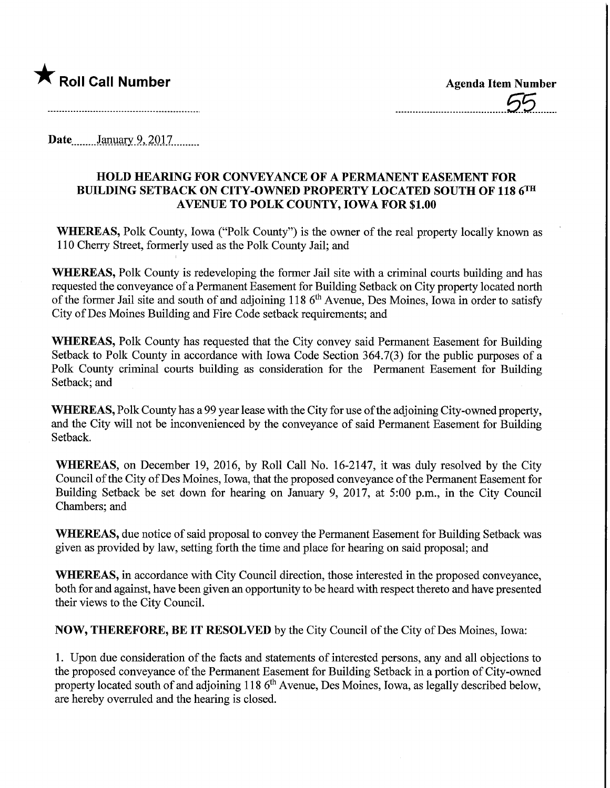

Date........January 9, 2017.........

## HOLD HEAMNG FOR CONVEYANCE OF A PERMANENT EASEMENT FOR BUILDING SETBACK ON CITY-OWNED PROPERTY LOCATED SOUTH OF 118 6TH AVENUE TO POLK COUNTY, IOWA FOR \$1.00

WHEREAS, Polk County, Iowa ("Polk County") is the owner of the real property locally known as 110 Cherry Street, formerly used as the Polk County Jail; and

WHEREAS, Polk County is redeveloping the former Jail site with a criminal courts building and has requested the conveyance of a Permanent Easement for Building Setback on City property located north of the former Jail site and south of and adjoining 118 6th Avenue, Des Moines, Iowa in order to satisfy City of Des Moines Building and Fire Code setback requirements; and

WHEREAS, Polk County has requested that the City convey said Permanent Easement for Building Setback to Polk County in accordance with Iowa Code Section 364.7(3) for the public purposes of a Polk County criminal courts building as consideration for the Permanent Easement for Building Setback; and

WHEREAS, Polk County has a 99 year lease with the City for use of the adjoining City-owned property, and the City will not be inconvenienced by the conveyance of said Permanent Easement for Building Setback.

WHEREAS, on December 19, 2016, by Roll Call No. 16-2147, it was duly resolved by the City Council of the City of Des Moines, Iowa, that the proposed conveyance of the Permanent Easement for Building Setback be set down for hearing on January 9, 2017, at 5:00 p.m., in the City Council Chambers; and

WHEREAS, due notice of said proposal to convey the Permanent Easement for Building Setback was given as provided by law, setting forth the time and place for hearing on said proposal; and

WHEREAS, in accordance with City Council direction, those interested in the proposed conveyance, both for and against, have been given an opportunity to be heard with respect thereto and have presented their views to the City Council.

NOW, THEREFORE, BE IT RESOLVED by the City Council of the City of Des Moines, Iowa:

1. Upon due consideration of the facts and statements of interested persons, any and all objections to the proposed conveyance of the Permanent Easement for Building Setback in a portion of City-owned property located south of and adjoining 118  $6<sup>th</sup>$  Avenue, Des Moines, Iowa, as legally described below, are hereby overruled and the hearing is closed.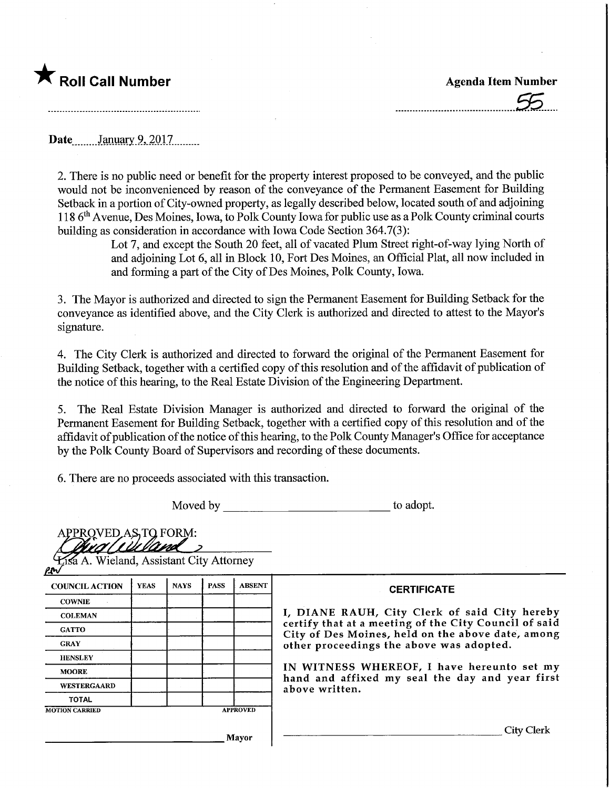## **The Roll Call Number Agents Container Agents Agents Item Number**

Date January 9, 2017

2. There is no public need or benefit for the property interest proposed to be conveyed, and the public would not be inconvenienced by reason of the conveyance of the Permanent Easement for Building Setback in a portion of City-owned property, as legally described below, located south of and adjoining 118 6th Avenue, Des Moines, Iowa, to Polk County Iowa for public use as a Polk County criminal courts building as consideration in accordance with Iowa Code Section 364.7(3):

> Lot 7, and except the South 20 feet, all of vacated Plum Street right-of-way lying North of and adjoining Lot 6, all in Block 10, Fort Des Moines, an Official Plat, all now included in and forming a part of the City of Des Moines, Polk County, Iowa.

3. The Mayor is authorized and directed to sign the Permanent Easement for Building Setback for the conveyance as identified above, and the City Clerk is authorized and directed to attest to the Mayor's signature.

4. The City Clerk is authorized and directed to forward the original of the Permanent Easement for Building Setback, together with a certified copy of this resolution and of the affidavit of publication of the notice of this hearing, to the Real Estate Division of the Engineering Department.

5. The Real Estate Division Manager is authorized and directed to forward the original of the Permanent Easement for Building Setback, together with a certified copy of this resolution and of the affidavit of publication of the notice of this hearing, to the Polk County Manager's Office for acceptance by the Polk County Board of Supervisors and recording of these documents.

6. There are no proceeds associated with this transaction.

Moved by to adopt.

| APPROVED AS TO FORM:<br><b>Lisa A. Wieland, Assistant City Attorney</b><br><u>po</u> |             |             |             |               |                                                                                                                                                                                                      |  |  |
|--------------------------------------------------------------------------------------|-------------|-------------|-------------|---------------|------------------------------------------------------------------------------------------------------------------------------------------------------------------------------------------------------|--|--|
| <b>COUNCIL ACTION</b>                                                                | <b>YEAS</b> | <b>NAYS</b> | <b>PASS</b> | <b>ABSENT</b> | <b>CERTIFICATE</b>                                                                                                                                                                                   |  |  |
| <b>COWNIE</b>                                                                        |             |             |             |               |                                                                                                                                                                                                      |  |  |
| <b>COLEMAN</b>                                                                       |             |             |             |               | I, DIANE RAUH, City Clerk of said City hereby                                                                                                                                                        |  |  |
| <b>GATTO</b>                                                                         |             |             |             |               | certify that at a meeting of the City Council of said<br>City of Des Moines, held on the above date, among<br>other proceedings the above was adopted.<br>IN WITNESS WHEREOF, I have hereunto set my |  |  |
| <b>GRAY</b>                                                                          |             |             |             |               |                                                                                                                                                                                                      |  |  |
| <b>HENSLEY</b>                                                                       |             |             |             |               |                                                                                                                                                                                                      |  |  |
| <b>MOORE</b>                                                                         |             |             |             |               |                                                                                                                                                                                                      |  |  |
| <b>WESTERGAARD</b>                                                                   |             |             |             |               | hand and affixed my seal the day and year first<br>above written.                                                                                                                                    |  |  |
| <b>TOTAL</b>                                                                         |             |             |             |               |                                                                                                                                                                                                      |  |  |
| <b>APPROVED</b><br><b>MOTION CARRIED</b>                                             |             |             |             |               |                                                                                                                                                                                                      |  |  |
|                                                                                      |             |             |             | Mayor         | City Clerk                                                                                                                                                                                           |  |  |